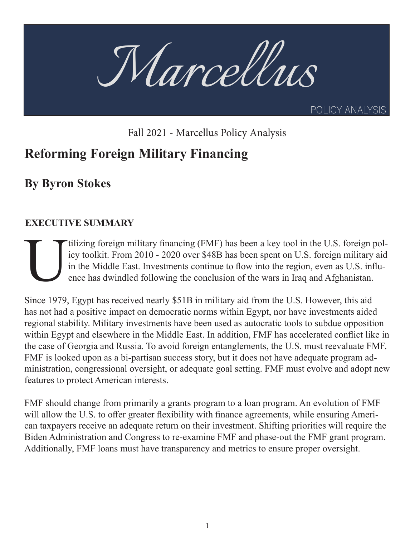

Fall 2021 - Marcellus Policy Analysis

# **Reforming Foreign Military Financing**

**By Byron Stokes**

### **EXECUTIVE SUMMARY**

tilizing foreign military financing (FMF) has been a key tool in the U.S. foreign policy toolkit. From 2010 - 2020 over \$48B has been spent on U.S. foreign military aid in the Middle East. Investments continue to flow into icy toolkit. From 2010 - 2020 over \$48B has been spent on U.S. foreign military aid in the Middle East. Investments continue to flow into the region, even as U.S. influence has dwindled following the conclusion of the wars in Iraq and Afghanistan.

Since 1979, Egypt has received nearly \$51B in military aid from the U.S. However, this aid has not had a positive impact on democratic norms within Egypt, nor have investments aided regional stability. Military investments have been used as autocratic tools to subdue opposition within Egypt and elsewhere in the Middle East. In addition, FMF has accelerated conflict like in the case of Georgia and Russia. To avoid foreign entanglements, the U.S. must reevaluate FMF. FMF is looked upon as a bi-partisan success story, but it does not have adequate program administration, congressional oversight, or adequate goal setting. FMF must evolve and adopt new features to protect American interests.

FMF should change from primarily a grants program to a loan program. An evolution of FMF will allow the U.S. to offer greater flexibility with finance agreements, while ensuring American taxpayers receive an adequate return on their investment. Shifting priorities will require the Biden Administration and Congress to re-examine FMF and phase-out the FMF grant program. Additionally, FMF loans must have transparency and metrics to ensure proper oversight.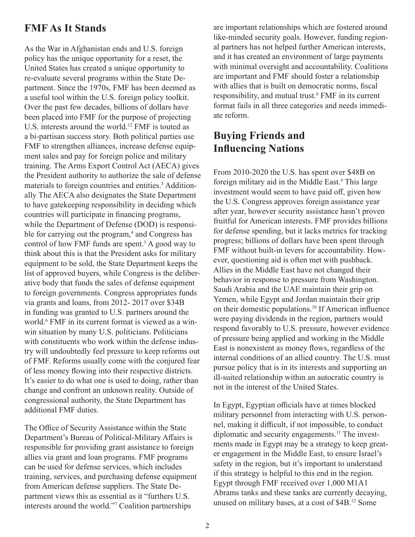### **FMF As It Stands**

As the War in Afghanistan ends and U.S. foreign policy has the unique opportunity for a reset, the United States has created a unique opportunity to re-evaluate several programs within the State Department. Since the 1970s, FMF has been deemed as a useful tool within the U.S. foreign policy toolkit. Over the past few decades, billions of dollars have been placed into FMF for the purpose of projecting U.S. interests around the world.<sup>12</sup> FMF is touted as a bi-partisan success story. Both political parties use FMF to strengthen alliances, increase defense equipment sales and pay for foreign police and military training. The Arms Export Control Act (AECA) gives the President authority to authorize the sale of defense materials to foreign countries and entities.<sup>3</sup> Additionally The AECA also designates the State Department to have gatekeeping responsibility in deciding which countries will participate in financing programs, while the Department of Defense (DOD) is responsible for carrying out the program,<sup>4</sup> and Congress has control of how FMF funds are spent.<sup>5</sup> A good way to think about this is that the President asks for military equipment to be sold, the State Department keeps the list of approved buyers, while Congress is the deliberative body that funds the sales of defense equipment to foreign governments. Congress appropriates funds via grants and loans, from 2012- 2017 over \$34B in funding was granted to U.S. partners around the world.<sup>6</sup> FMF in its current format is viewed as a winwin situation by many U.S. politicians. Politicians with constituents who work within the defense industry will undoubtedly feel pressure to keep reforms out of FMF. Reforms usually come with the conjured fear of less money flowing into their respective districts. It's easier to do what one is used to doing, rather than change and confront an unknown reality. Outside of congressional authority, the State Department has additional FMF duties.

The Office of Security Assistance within the State Department's Bureau of Political-Military Affairs is responsible for providing grant assistance to foreign allies via grant and loan programs. FMF programs can be used for defense services, which includes training, services, and purchasing defense equipment from American defense suppliers. The State Department views this as essential as it "furthers U.S. interests around the world."7 Coalition partnerships

are important relationships which are fostered around like-minded security goals. However, funding regional partners has not helped further American interests, and it has created an environment of large payments with minimal oversight and accountability. Coalitions are important and FMF should foster a relationship with allies that is built on democratic norms, fiscal responsibility, and mutual trust.<sup>8</sup> FMF in its current format fails in all three categories and needs immediate reform.

### **Buying Friends and Influencing Nations**

From 2010-2020 the U.S. has spent over \$48B on foreign military aid in the Middle East.<sup>9</sup> This large investment would seem to have paid off, given how the U.S. Congress approves foreign assistance year after year, however security assistance hasn't proven fruitful for American interests. FMF provides billions for defense spending, but it lacks metrics for tracking progress; billions of dollars have been spent through FMF without built-in levers for accountability. However, questioning aid is often met with pushback. Allies in the Middle East have not changed their behavior in response to pressure from Washington. Saudi Arabia and the UAE maintain their grip on Yemen, while Egypt and Jordan maintain their grip on their domestic populations.10 If American influence were paying dividends in the region, partners would respond favorably to U.S. pressure, however evidence of pressure being applied and working in the Middle East is nonexistent as money flows, regardless of the internal conditions of an allied country. The U.S. must pursue policy that is in its interests and supporting an ill-suited relationship within an autocratic country is not in the interest of the United States.

In Egypt, Egyptian officials have at times blocked military personnel from interacting with U.S. personnel, making it difficult, if not impossible, to conduct diplomatic and security engagements.<sup>11</sup> The investments made in Egypt may be a strategy to keep greater engagement in the Middle East, to ensure Israel's safety in the region, but it's important to understand if this strategy is helpful to this end in the region. Egypt through FMF received over 1,000 M1A1 Abrams tanks and these tanks are currently decaying, unused on military bases, at a cost of \$4B.12 Some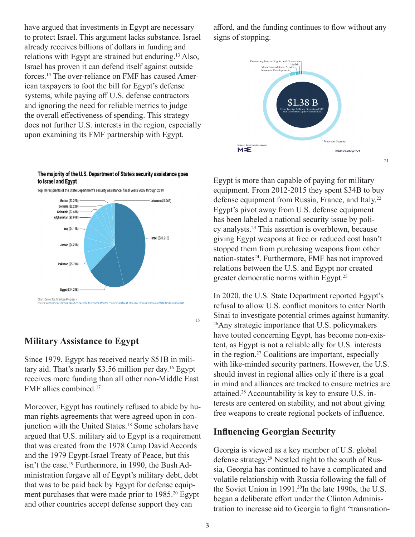have argued that investments in Egypt are necessary to protect Israel. This argument lacks substance. Israel already receives billions of dollars in funding and relations with Egypt are strained but enduring.13 Also, Israel has proven it can defend itself against outside forces.14 The over-reliance on FMF has caused American taxpayers to foot the bill for Egypt's defense systems, while paying off U.S. defense contractors and ignoring the need for reliable metrics to judge the overall effectiveness of spending. This strategy does not further U.S. interests in the region, especially upon examining its FMF partnership with Egypt.

#### The majority of the U.S. Department of State's security assistance goes to Israel and Egypt



#### **Military Assistance to Egypt**

Since 1979, Egypt has received nearly \$51B in military aid. That's nearly \$3.56 million per day.<sup>16</sup> Egypt receives more funding than all other non-Middle East FMF allies combined.17

Moreover, Egypt has routinely refused to abide by human rights agreements that were agreed upon in conjunction with the United States.<sup>18</sup> Some scholars have argued that U.S. military aid to Egypt is a requirement that was created from the 1978 Camp David Accords and the 1979 Egypt-Israel Treaty of Peace, but this isn't the case.<sup>19</sup> Furthermore, in 1990, the Bush Administration forgave all of Egypt's military debt, debt that was to be paid back by Egypt for defense equipment purchases that were made prior to 1985.<sup>20</sup> Egypt and other countries accept defense support they can

afford, and the funding continues to flow without any signs of stopping.



Egypt is more than capable of paying for military equipment. From 2012-2015 they spent \$34B to buy defense equipment from Russia, France, and Italy.<sup>22</sup> Egypt's pivot away from U.S. defense equipment has been labeled a national security issue by policy analysts.23 This assertion is overblown, because giving Egypt weapons at free or reduced cost hasn't stopped them from purchasing weapons from other nation-states<sup>24</sup>. Furthermore, FMF has not improved relations between the U.S. and Egypt nor created greater democratic norms within Egypt.25

In 2020, the U.S. State Department reported Egypt's refusal to allow U.S. conflict monitors to enter North Sinai to investigate potential crimes against humanity. 26Any strategic importance that U.S. policymakers have touted concerning Egypt, has become non-existent, as Egypt is not a reliable ally for U.S. interests in the region.<sup>27</sup> Coalitions are important, especially with like-minded security partners. However, the U.S. should invest in regional allies only if there is a goal in mind and alliances are tracked to ensure metrics are attained.28 Accountability is key to ensure U.S. interests are centered on stability, and not about giving free weapons to create regional pockets of influence.

#### **Influencing Georgian Security**

Georgia is viewed as a key member of U.S. global defense strategy.29 Nestled right to the south of Russia, Georgia has continued to have a complicated and volatile relationship with Russia following the fall of the Soviet Union in 1991.<sup>30</sup>In the late 1990s, the U.S. began a deliberate effort under the Clinton Administration to increase aid to Georgia to fight "transnation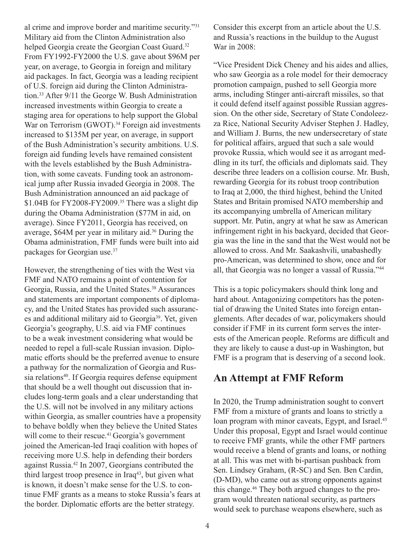al crime and improve border and maritime security."31 Military aid from the Clinton Administration also helped Georgia create the Georgian Coast Guard.<sup>32</sup> From FY1992-FY2000 the U.S. gave about \$96M per year, on average, to Georgia in foreign and military aid packages. In fact, Georgia was a leading recipient of U.S. foreign aid during the Clinton Administration.<sup>33</sup> After 9/11 the George W. Bush Administration increased investments within Georgia to create a staging area for operations to help support the Global War on Terrorism (GWOT).<sup>34</sup> Foreign aid investments increased to \$135M per year, on average, in support of the Bush Administration's security ambitions. U.S. foreign aid funding levels have remained consistent with the levels established by the Bush Administration, with some caveats. Funding took an astronomical jump after Russia invaded Georgia in 2008. The Bush Administration announced an aid package of  $$1.04B$  for FY2008-FY2009.<sup>35</sup> There was a slight dip during the Obama Administration (\$77M in aid, on average). Since FY2011, Georgia has received, on average, \$64M per year in military aid.<sup>36</sup> During the Obama administration, FMF funds were built into aid packages for Georgian use.37

However, the strengthening of ties with the West via FMF and NATO remains a point of contention for Georgia, Russia, and the United States.<sup>38</sup> Assurances and statements are important components of diplomacy, and the United States has provided such assurances and additional military aid to Georgia<sup>39</sup>. Yet, given Georgia's geography, U.S. aid via FMF continues to be a weak investment considering what would be needed to repel a full-scale Russian invasion. Diplomatic efforts should be the preferred avenue to ensure a pathway for the normalization of Georgia and Russia relations<sup>40</sup>. If Georgia requires defense equipment that should be a well thought out discussion that includes long-term goals and a clear understanding that the U.S. will not be involved in any military actions within Georgia, as smaller countries have a propensity to behave boldly when they believe the United States will come to their rescue.<sup>41</sup> Georgia's government joined the American-led Iraqi coalition with hopes of receiving more U.S. help in defending their borders against Russia.42 In 2007, Georgians contributed the third largest troop presence in  $Iraq<sup>43</sup>$ , but given what is known, it doesn't make sense for the U.S. to continue FMF grants as a means to stoke Russia's fears at the border. Diplomatic efforts are the better strategy.

Consider this excerpt from an article about the U.S. and Russia's reactions in the buildup to the August War in 2008:

"Vice President Dick Cheney and his aides and allies, who saw Georgia as a role model for their democracy promotion campaign, pushed to sell Georgia more arms, including Stinger anti-aircraft missiles, so that it could defend itself against possible Russian aggression. On the other side, Secretary of State Condoleezza Rice, National Security Adviser Stephen J. Hadley, and William J. Burns, the new undersecretary of state for political affairs, argued that such a sale would provoke Russia, which would see it as arrogant meddling in its turf, the officials and diplomats said. They describe three leaders on a collision course. Mr. Bush, rewarding Georgia for its robust troop contribution to Iraq at 2,000, the third highest, behind the United States and Britain promised NATO membership and its accompanying umbrella of American military support. Mr. Putin, angry at what he saw as American infringement right in his backyard, decided that Georgia was the line in the sand that the West would not be allowed to cross. And Mr. Saakashvili, unabashedly pro-American, was determined to show, once and for all, that Georgia was no longer a vassal of Russia."44

This is a topic policymakers should think long and hard about. Antagonizing competitors has the potential of drawing the United States into foreign entanglements. After decades of war, policymakers should consider if FMF in its current form serves the interests of the American people. Reforms are difficult and they are likely to cause a dust-up in Washington, but FMF is a program that is deserving of a second look.

### **An Attempt at FMF Reform**

In 2020, the Trump administration sought to convert FMF from a mixture of grants and loans to strictly a loan program with minor caveats, Egypt, and Israel.<sup>45</sup> Under this proposal, Egypt and Israel would continue to receive FMF grants, while the other FMF partners would receive a blend of grants and loans, or nothing at all. This was met with bi-partisan pushback from Sen. Lindsey Graham, (R-SC) and Sen. Ben Cardin, (D-MD), who came out as strong opponents against this change.46 They both argued changes to the program would threaten national security, as partners would seek to purchase weapons elsewhere, such as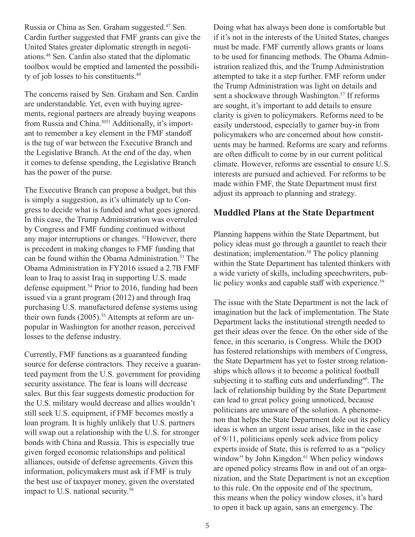Russia or China as Sen. Graham suggested.47 Sen. Cardin further suggested that FMF grants can give the United States greater diplomatic strength in negotiations.48 Sen. Cardin also stated that the diplomatic toolbox would be emptied and lamented the possibility of job losses to his constituents.<sup>49</sup>

The concerns raised by Sen. Graham and Sen. Cardin are understandable. Yet, even with buying agreements, regional partners are already buying weapons from Russia and China.<sup>5051</sup> Additionally, it's important to remember a key element in the FMF standoff is the tug of war between the Executive Branch and the Legislative Branch. At the end of the day, when it comes to defense spending, the Legislative Branch has the power of the purse.

The Executive Branch can propose a budget, but this is simply a suggestion, as it's ultimately up to Congress to decide what is funded and what goes ignored. In this case, the Trump Administration was overruled by Congress and FMF funding continued without any major interruptions or changes. 52However, there is precedent in making changes to FMF funding that can be found within the Obama Administration.53 The Obama Administration in FY2016 issued a 2.7B FMF loan to Iraq to assist Iraq in supporting U.S. made defense equipment.<sup>54</sup> Prior to 2016, funding had been issued via a grant program (2012) and through Iraq purchasing U.S. manufactured defense systems using their own funds  $(2005)$ .<sup>55</sup> Attempts at reform are unpopular in Washington for another reason, perceived losses to the defense industry.

Currently, FMF functions as a guaranteed funding source for defense contractors. They receive a guaranteed payment from the U.S. government for providing security assistance. The fear is loans will decrease sales. But this fear suggests domestic production for the U.S. military would decrease and allies wouldn't still seek U.S. equipment, if FMF becomes mostly a loan program. It is highly unlikely that U.S. partners will swap out a relationship with the U.S. for stronger bonds with China and Russia. This is especially true given forged economic relationships and political alliances, outside of defense agreements. Given this information, policymakers must ask if FMF is truly the best use of taxpayer money, given the overstated impact to U.S. national security.<sup>56</sup>

Doing what has always been done is comfortable but if it's not in the interests of the United States, changes must be made. FMF currently allows grants or loans to be used for financing methods. The Obama Administration realized this, and the Trump Administration attempted to take it a step further. FMF reform under the Trump Administration was light on details and sent a shockwave through Washington.<sup>57</sup> If reforms are sought, it's important to add details to ensure clarity is given to policymakers. Reforms need to be easily understood, especially to garner buy-in from policymakers who are concerned about how constituents may be harmed. Reforms are scary and reforms are often difficult to come by in our current political climate. However, reforms are essential to ensure U.S. interests are pursued and achieved. For reforms to be made within FMF, the State Department must first adjust its approach to planning and strategy.

#### **Muddled Plans at the State Department**

Planning happens within the State Department, but policy ideas must go through a gauntlet to reach their destination; implementation.<sup>58</sup> The policy planning within the State Department has talented thinkers with a wide variety of skills, including speechwriters, public policy wonks and capable staff with experience.<sup>59</sup>

The issue with the State Department is not the lack of imagination but the lack of implementation. The State Department lacks the institutional strength needed to get their ideas over the fence. On the other side of the fence, in this scenario, is Congress. While the DOD has fostered relationships with members of Congress, the State Department has yet to foster strong relationships which allows it to become a political football subjecting it to staffing cuts and underfunding $60$ . The lack of relationship building by the State Department can lead to great policy going unnoticed, because politicians are unaware of the solution. A phenomenon that helps the State Department dole out its policy ideas is when an urgent issue arises, like in the case of 9/11, politicians openly seek advice from policy experts inside of State, this is referred to as a "policy window" by John Kingdon.<sup>61</sup> When policy windows are opened policy streams flow in and out of an organization, and the State Department is not an exception to this rule. On the opposite end of the spectrum, this means when the policy window closes, it's hard to open it back up again, sans an emergency. The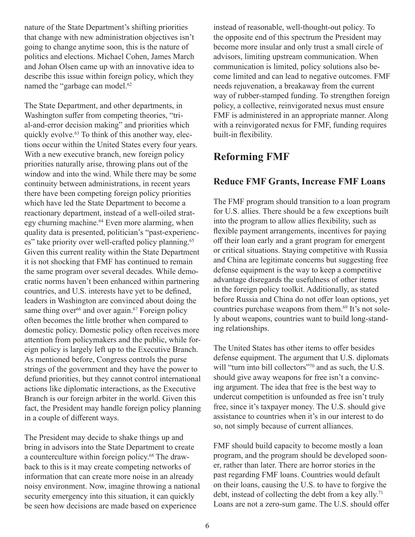nature of the State Department's shifting priorities that change with new administration objectives isn't going to change anytime soon, this is the nature of politics and elections. Michael Cohen, James March and Johan Olsen came up with an innovative idea to describe this issue within foreign policy, which they named the "garbage can model.<sup>62</sup>

The State Department, and other departments, in Washington suffer from competing theories, "trial-and-error decision making" and priorities which quickly evolve.63 To think of this another way, elections occur within the United States every four years. With a new executive branch, new foreign policy priorities naturally arise, throwing plans out of the window and into the wind. While there may be some continuity between administrations, in recent years there have been competing foreign policy priorities which have led the State Department to become a reactionary department, instead of a well-oiled strategy churning machine.<sup>64</sup> Even more alarming, when quality data is presented, politician's "past-experiences" take priority over well-crafted policy planning.<sup>65</sup> Given this current reality within the State Department it is not shocking that FMF has continued to remain the same program over several decades. While democratic norms haven't been enhanced within partnering countries, and U.S. interests have yet to be defined, leaders in Washington are convinced about doing the same thing over  $66$  and over again.<sup>67</sup> Foreign policy often becomes the little brother when compared to domestic policy. Domestic policy often receives more attention from policymakers and the public, while foreign policy is largely left up to the Executive Branch. As mentioned before, Congress controls the purse strings of the government and they have the power to defund priorities, but they cannot control international actions like diplomatic interactions, as the Executive Branch is our foreign arbiter in the world. Given this fact, the President may handle foreign policy planning in a couple of different ways.

The President may decide to shake things up and bring in advisors into the State Department to create a counterculture within foreign policy.68 The drawback to this is it may create competing networks of information that can create more noise in an already noisy environment. Now, imagine throwing a national security emergency into this situation, it can quickly be seen how decisions are made based on experience

instead of reasonable, well-thought-out policy. To the opposite end of this spectrum the President may become more insular and only trust a small circle of advisors, limiting upstream communication. When communication is limited, policy solutions also become limited and can lead to negative outcomes. FMF needs rejuvenation, a breakaway from the current way of rubber-stamped funding. To strengthen foreign policy, a collective, reinvigorated nexus must ensure FMF is administered in an appropriate manner. Along with a reinvigorated nexus for FMF, funding requires built-in flexibility.

### **Reforming FMF**

#### **Reduce FMF Grants, Increase FMF Loans**

The FMF program should transition to a loan program for U.S. allies. There should be a few exceptions built into the program to allow allies flexibility, such as flexible payment arrangements, incentives for paying off their loan early and a grant program for emergent or critical situations. Staying competitive with Russia and China are legitimate concerns but suggesting free defense equipment is the way to keep a competitive advantage disregards the usefulness of other items in the foreign policy toolkit. Additionally, as stated before Russia and China do not offer loan options, yet countries purchase weapons from them.69 It's not solely about weapons, countries want to build long-standing relationships.

The United States has other items to offer besides defense equipment. The argument that U.S. diplomats will "turn into bill collectors"<sup>70</sup> and as such, the U.S. should give away weapons for free isn't a convincing argument. The idea that free is the best way to undercut competition is unfounded as free isn't truly free, since it's taxpayer money. The U.S. should give assistance to countries when it's in our interest to do so, not simply because of current alliances.

FMF should build capacity to become mostly a loan program, and the program should be developed sooner, rather than later. There are horror stories in the past regarding FMF loans. Countries would default on their loans, causing the U.S. to have to forgive the debt, instead of collecting the debt from a key ally. $71$ Loans are not a zero-sum game. The U.S. should offer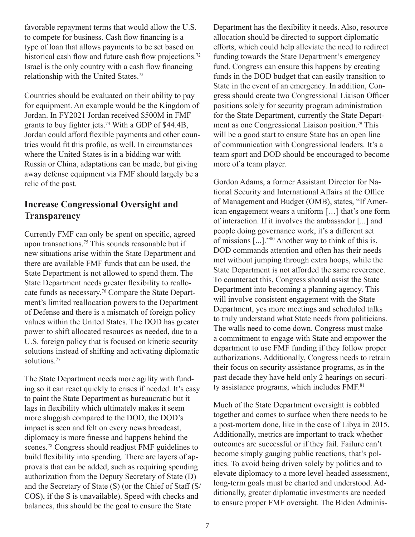favorable repayment terms that would allow the U.S. to compete for business. Cash flow financing is a type of loan that allows payments to be set based on historical cash flow and future cash flow projections.<sup>72</sup> Israel is the only country with a cash flow financing relationship with the United States.73

Countries should be evaluated on their ability to pay for equipment. An example would be the Kingdom of Jordan. In FY2021 Jordan received \$500M in FMF grants to buy fighter jets.74 With a GDP of \$44.4B, Jordan could afford flexible payments and other countries would fit this profile, as well. In circumstances where the United States is in a bidding war with Russia or China, adaptations can be made, but giving away defense equipment via FMF should largely be a relic of the past.

### **Increase Congressional Oversight and Transparency**

Currently FMF can only be spent on specific, agreed upon transactions.75 This sounds reasonable but if new situations arise within the State Department and there are available FMF funds that can be used, the State Department is not allowed to spend them. The State Department needs greater flexibility to reallocate funds as necessary.76 Compare the State Department's limited reallocation powers to the Department of Defense and there is a mismatch of foreign policy values within the United States. The DOD has greater power to shift allocated resources as needed, due to a U.S. foreign policy that is focused on kinetic security solutions instead of shifting and activating diplomatic solutions.<sup>77</sup>

The State Department needs more agility with funding so it can react quickly to crises if needed. It's easy to paint the State Department as bureaucratic but it lags in flexibility which ultimately makes it seem more sluggish compared to the DOD, the DOD's impact is seen and felt on every news broadcast, diplomacy is more finesse and happens behind the scenes.78 Congress should readjust FMF guidelines to build flexibility into spending. There are layers of approvals that can be added, such as requiring spending authorization from the Deputy Secretary of State (D) and the Secretary of State (S) (or the Chief of Staff (S/ COS), if the S is unavailable). Speed with checks and balances, this should be the goal to ensure the State

Department has the flexibility it needs. Also, resource allocation should be directed to support diplomatic efforts, which could help alleviate the need to redirect funding towards the State Department's emergency fund. Congress can ensure this happens by creating funds in the DOD budget that can easily transition to State in the event of an emergency. In addition, Congress should create two Congressional Liaison Officer positions solely for security program administration for the State Department, currently the State Department as one Congressional Liaison position.79 This will be a good start to ensure State has an open line of communication with Congressional leaders. It's a team sport and DOD should be encouraged to become more of a team player.

Gordon Adams, a former Assistant Director for National Security and International Affairs at the Office of Management and Budget (OMB), states, "If American engagement wears a uniform […] that's one form of interaction. If it involves the ambassador [...] and people doing governance work, it's a different set of missions [...]."80 Another way to think of this is, DOD commands attention and often has their needs met without jumping through extra hoops, while the State Department is not afforded the same reverence. To counteract this, Congress should assist the State Department into becoming a planning agency. This will involve consistent engagement with the State Department, yes more meetings and scheduled talks to truly understand what State needs from politicians. The walls need to come down. Congress must make a commitment to engage with State and empower the department to use FMF funding if they follow proper authorizations. Additionally, Congress needs to retrain their focus on security assistance programs, as in the past decade they have held only 2 hearings on security assistance programs, which includes FMF.<sup>81</sup>

Much of the State Department oversight is cobbled together and comes to surface when there needs to be a post-mortem done, like in the case of Libya in 2015. Additionally, metrics are important to track whether outcomes are successful or if they fail. Failure can't become simply gauging public reactions, that's politics. To avoid being driven solely by politics and to elevate diplomacy to a more level-headed assessment, long-term goals must be charted and understood. Additionally, greater diplomatic investments are needed to ensure proper FMF oversight. The Biden Adminis-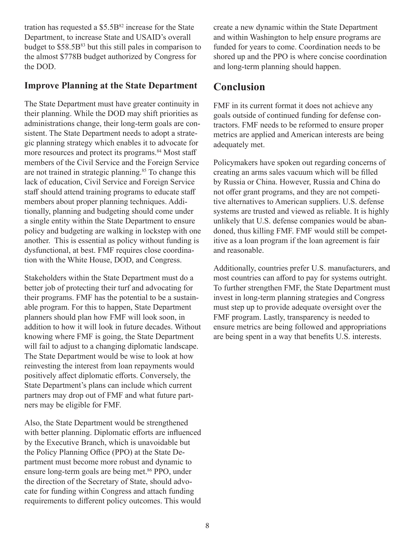tration has requested a  $$5.5B^{82}$  increase for the State Department, to increase State and USAID's overall budget to  $$58.5B^{83}$  but this still pales in comparison to the almost \$778B budget authorized by Congress for the DOD.

#### **Improve Planning at the State Department**

The State Department must have greater continuity in their planning. While the DOD may shift priorities as administrations change, their long-term goals are consistent. The State Department needs to adopt a strategic planning strategy which enables it to advocate for more resources and protect its programs.<sup>84</sup> Most staff members of the Civil Service and the Foreign Service are not trained in strategic planning.<sup>85</sup> To change this lack of education, Civil Service and Foreign Service staff should attend training programs to educate staff members about proper planning techniques. Additionally, planning and budgeting should come under a single entity within the State Department to ensure policy and budgeting are walking in lockstep with one another. This is essential as policy without funding is dysfunctional, at best. FMF requires close coordination with the White House, DOD, and Congress.

Stakeholders within the State Department must do a better job of protecting their turf and advocating for their programs. FMF has the potential to be a sustainable program. For this to happen, State Department planners should plan how FMF will look soon, in addition to how it will look in future decades. Without knowing where FMF is going, the State Department will fail to adjust to a changing diplomatic landscape. The State Department would be wise to look at how reinvesting the interest from loan repayments would positively affect diplomatic efforts. Conversely, the State Department's plans can include which current partners may drop out of FMF and what future partners may be eligible for FMF.

Also, the State Department would be strengthened with better planning. Diplomatic efforts are influenced by the Executive Branch, which is unavoidable but the Policy Planning Office (PPO) at the State Department must become more robust and dynamic to ensure long-term goals are being met.<sup>86</sup> PPO, under the direction of the Secretary of State, should advocate for funding within Congress and attach funding requirements to different policy outcomes. This would

create a new dynamic within the State Department and within Washington to help ensure programs are funded for years to come. Coordination needs to be shored up and the PPO is where concise coordination and long-term planning should happen.

### **Conclusion**

FMF in its current format it does not achieve any goals outside of continued funding for defense contractors. FMF needs to be reformed to ensure proper metrics are applied and American interests are being adequately met.

Policymakers have spoken out regarding concerns of creating an arms sales vacuum which will be filled by Russia or China. However, Russia and China do not offer grant programs, and they are not competitive alternatives to American suppliers. U.S. defense systems are trusted and viewed as reliable. It is highly unlikely that U.S. defense companies would be abandoned, thus killing FMF. FMF would still be competitive as a loan program if the loan agreement is fair and reasonable.

Additionally, countries prefer U.S. manufacturers, and most countries can afford to pay for systems outright. To further strengthen FMF, the State Department must invest in long-term planning strategies and Congress must step up to provide adequate oversight over the FMF program. Lastly, transparency is needed to ensure metrics are being followed and appropriations are being spent in a way that benefits U.S. interests.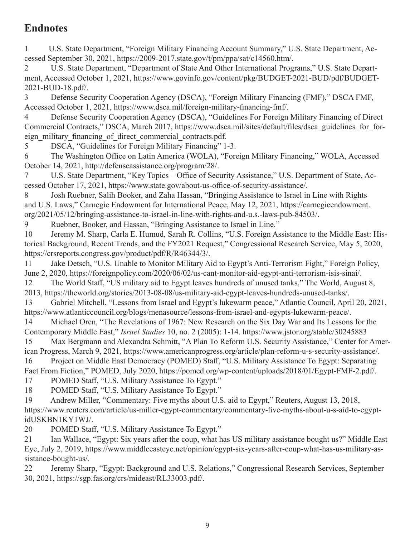## **Endnotes**

1 U.S. State Department, "Foreign Military Financing Account Summary," U.S. State Department, Accessed September 30, 2021, https://2009-2017.state.gov/t/pm/ppa/sat/c14560.htm/.

2 U.S. State Department, "Department of State And Other International Programs," U.S. State Department, Accessed October 1, 2021, https://www.govinfo.gov/content/pkg/BUDGET-2021-BUD/pdf/BUDGET-2021-BUD-18.pdf/.

3 Defense Security Cooperation Agency (DSCA), "Foreign Military Financing (FMF)," DSCA FMF, Accessed October 1, 2021, https://www.dsca.mil/foreign-military-financing-fmf/.

4 Defense Security Cooperation Agency (DSCA), "Guidelines For Foreign Military Financing of Direct Commercial Contracts," DSCA, March 2017, https://www.dsca.mil/sites/default/files/dsca\_guidelines\_for\_foreign\_military\_financing\_of\_direct\_commercial\_contracts.pdf.

5 DSCA, "Guidelines for Foreign Military Financing" 1-3.

6 The Washington Office on Latin America (WOLA), "Foreign Military Financing," WOLA, Accessed October 14, 2021, http://defenseassistance.org/program/28/.

7 U.S. State Department, "Key Topics – Office of Security Assistance," U.S. Department of State, Accessed October 17, 2021, https://www.state.gov/about-us-office-of-security-assistance/.

8 Josh Ruebner, Salih Booker, and Zaha Hassan, "Bringing Assistance to Israel in Line with Rights and U.S. Laws," Carnegie Endowment for International Peace, May 12, 2021, https://carnegieendowment. org/2021/05/12/bringing-assistance-to-israel-in-line-with-rights-and-u.s.-laws-pub-84503/.

9 Ruebner, Booker, and Hassan, "Bringing Assistance to Israel in Line."

10 Jeremy M. Sharp, Carla E. Humud, Sarah R. Collins, "U.S. Foreign Assistance to the Middle East: Historical Background, Recent Trends, and the FY2021 Request," Congressional Research Service, May 5, 2020, https://crsreports.congress.gov/product/pdf/R/R46344/3/.

11 Jake Detsch, "U.S. Unable to Monitor Military Aid to Egypt's Anti-Terrorism Fight," Foreign Policy, June 2, 2020, https://foreignpolicy.com/2020/06/02/us-cant-monitor-aid-egypt-anti-terrorism-isis-sinai/.

12 The World Staff, "US military aid to Egypt leaves hundreds of unused tanks," The World, August 8, 2013, https://theworld.org/stories/2013-08-08/us-military-aid-egypt-leaves-hundreds-unused-tanks/.

13 Gabriel Mitchell, "Lessons from Israel and Egypt's lukewarm peace," Atlantic Council, April 20, 2021, https://www.atlanticcouncil.org/blogs/menasource/lessons-from-israel-and-egypts-lukewarm-peace/.

14 Michael Oren, "The Revelations of 1967: New Research on the Six Day War and Its Lessons for the Contemporary Middle East," *Israel Studies* 10, no. 2 (2005): 1-14. https://www.jstor.org/stable/30245883

15 Max Bergmann and Alexandra Schmitt, "A Plan To Reform U.S. Security Assistance," Center for American Progress, March 9, 2021, https://www.americanprogress.org/article/plan-reform-u-s-security-assistance/.

16 Project on Middle East Democracy (POMED) Staff, "U.S. Military Assistance To Egypt: Separating Fact From Fiction," POMED, July 2020, https://pomed.org/wp-content/uploads/2018/01/Egypt-FMF-2.pdf/.

17 POMED Staff, "U.S. Military Assistance To Egypt."

18 POMED Staff, "U.S. Military Assistance To Egypt."

19 Andrew Miller, "Commentary: Five myths about U.S. aid to Egypt," Reuters, August 13, 2018, https://www.reuters.com/article/us-miller-egypt-commentary/commentary-five-myths-about-u-s-aid-to-egyptidUSKBN1KY1WJ/.

20 POMED Staff, "U.S. Military Assistance To Egypt."

21 Ian Wallace, "Egypt: Six years after the coup, what has US military assistance bought us?" Middle East Eye, July 2, 2019, https://www.middleeasteye.net/opinion/egypt-six-years-after-coup-what-has-us-military-assistance-bought-us/.

22 Jeremy Sharp, "Egypt: Background and U.S. Relations," Congressional Research Services, September 30, 2021, https://sgp.fas.org/crs/mideast/RL33003.pdf/.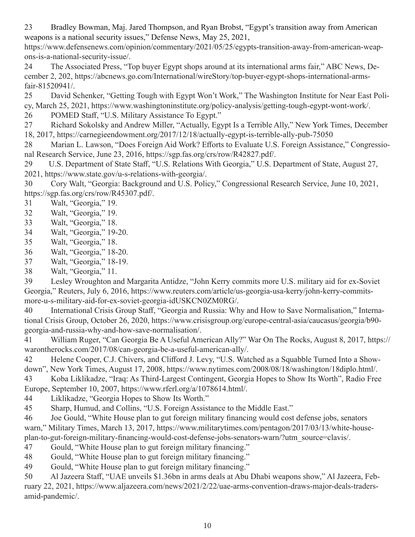23 Bradley Bowman, Maj. Jared Thompson, and Ryan Brobst, "Egypt's transition away from American weapons is a national security issues," Defense News, May 25, 2021,

https://www.defensenews.com/opinion/commentary/2021/05/25/egypts-transition-away-from-american-weapons-is-a-national-security-issue/.

24 The Associated Press, "Top buyer Egypt shops around at its international arms fair," ABC News, December 2, 202, https://abcnews.go.com/International/wireStory/top-buyer-egypt-shops-international-armsfair-81520941/.

25 David Schenker, "Getting Tough with Egypt Won't Work," The Washington Institute for Near East Policy, March 25, 2021, https://www.washingtoninstitute.org/policy-analysis/getting-tough-egypt-wont-work/.

26 POMED Staff, "U.S. Military Assistance To Egypt."

27 Richard Sokolsky and Andrew Miller, "Actually, Egypt Is a Terrible Ally," New York Times, December 18, 2017, https://carnegieendowment.org/2017/12/18/actually-egypt-is-terrible-ally-pub-75050

28 Marian L. Lawson, "Does Foreign Aid Work? Efforts to Evaluate U.S. Foreign Assistance," Congressional Research Service, June 23, 2016, https://sgp.fas.org/crs/row/R42827.pdf/.

29 U.S. Department of State Staff, "U.S. Relations With Georgia," U.S. Department of State, August 27, 2021, https://www.state.gov/u-s-relations-with-georgia/.

30 Cory Walt, "Georgia: Background and U.S. Policy," Congressional Research Service, June 10, 2021, https://sgp.fas.org/crs/row/R45307.pdf/.

31 Walt, "Georgia," 19.

- 32 Walt, "Georgia," 19.
- 33 Walt, "Georgia," 18.
- 34 Walt, "Georgia," 19-20.
- 35 Walt, "Georgia," 18.
- 36 Walt, "Georgia," 18-20.
- 37 Walt, "Georgia," 18-19.
- 38 Walt, "Georgia," 11.

39 Lesley Wroughton and Margarita Antidze, "John Kerry commits more U.S. military aid for ex-Soviet Georgia," Reuters, July 6, 2016, https://www.reuters.com/article/us-georgia-usa-kerry/john-kerry-commitsmore-u-s-military-aid-for-ex-soviet-georgia-idUSKCN0ZM0RG/.

40 International Crisis Group Staff, "Georgia and Russia: Why and How to Save Normalisation," International Crisis Group, October 26, 2020, https://www.crisisgroup.org/europe-central-asia/caucasus/georgia/b90 georgia-and-russia-why-and-how-save-normalisation/.

41 William Ruger, "Can Georgia Be A Useful American Ally?" War On The Rocks, August 8, 2017, https:// warontherocks.com/2017/08/can-georgia-be-a-useful-american-ally/.

42 Helene Cooper, C.J. Chivers, and Clifford J. Levy, "U.S. Watched as a Squabble Turned Into a Showdown", New York Times, August 17, 2008, https://www.nytimes.com/2008/08/18/washington/18diplo.html/.

43 Koba Liklikadze, "Iraq: As Third-Largest Contingent, Georgia Hopes to Show Its Worth", Radio Free Europe, September 10, 2007, https://www.rferl.org/a/1078614.html/.

44 Liklikadze, "Georgia Hopes to Show Its Worth."

45 Sharp, Humud, and Collins, "U.S. Foreign Assistance to the Middle East."

46 Joe Gould, "White House plan to gut foreign military financing would cost defense jobs, senators warn," Military Times, March 13, 2017, https://www.militarytimes.com/pentagon/2017/03/13/white-houseplan-to-gut-foreign-military-financing-would-cost-defense-jobs-senators-warn/?utm\_source=clavis/.

47 Gould, "White House plan to gut foreign military financing."

48 Gould, "White House plan to gut foreign military financing."

49 Gould, "White House plan to gut foreign military financing."

50 Al Jazeera Staff, "UAE unveils \$1.36bn in arms deals at Abu Dhabi weapons show," Al Jazeera, February 22, 2021, https://www.aljazeera.com/news/2021/2/22/uae-arms-convention-draws-major-deals-tradersamid-pandemic/.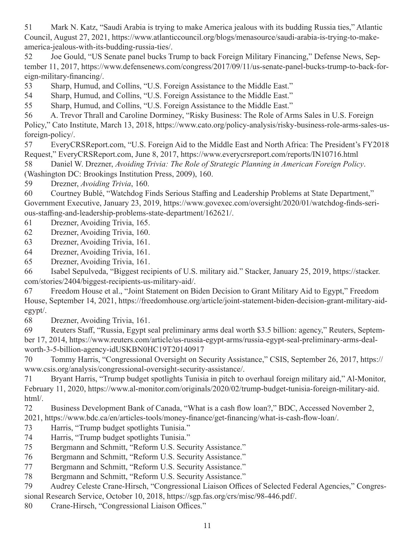51 Mark N. Katz, "Saudi Arabia is trying to make America jealous with its budding Russia ties," Atlantic Council, August 27, 2021, https://www.atlanticcouncil.org/blogs/menasource/saudi-arabia-is-trying-to-makeamerica-jealous-with-its-budding-russia-ties/.

52 Joe Gould, "US Senate panel bucks Trump to back Foreign Military Financing," Defense News, September 11, 2017, https://www.defensenews.com/congress/2017/09/11/us-senate-panel-bucks-trump-to-back-foreign-military-financing/.

53 Sharp, Humud, and Collins, "U.S. Foreign Assistance to the Middle East."

54 Sharp, Humud, and Collins, "U.S. Foreign Assistance to the Middle East."

55 Sharp, Humud, and Collins, "U.S. Foreign Assistance to the Middle East."

56 A. Trevor Thrall and Caroline Dorminey, "Risky Business: The Role of Arms Sales in U.S. Foreign Policy," Cato Institute, March 13, 2018, https://www.cato.org/policy-analysis/risky-business-role-arms-sales-usforeign-policy/.

57 EveryCRSReport.com, "U.S. Foreign Aid to the Middle East and North Africa: The President's FY2018 Request," EveryCRSReport.com, June 8, 2017, https://www.everycrsreport.com/reports/IN10716.html

58 Daniel W. Drezner, *Avoiding Trivia: The Role of Strategic Planning in American Foreign Policy*. (Washington DC: Brookings Institution Press, 2009), 160.

59 Drezner, *Avoiding Trivia*, 160.

60 Courtney Bublé, "Watchdog Finds Serious Staffing and Leadership Problems at State Department," Government Executive, January 23, 2019, https://www.govexec.com/oversight/2020/01/watchdog-finds-serious-staffing-and-leadership-problems-state-department/162621/.

- 61 Drezner, Avoiding Trivia, 165.
- 62 Drezner, Avoiding Trivia, 160.
- 63 Drezner, Avoiding Trivia, 161.
- 64 Drezner, Avoiding Trivia, 161.
- 65 Drezner, Avoiding Trivia, 161.

66 Isabel Sepulveda, "Biggest recipients of U.S. military aid." Stacker, January 25, 2019, https://stacker. com/stories/2404/biggest-recipients-us-military-aid/.

67 Freedom House et al., "Joint Statement on Biden Decision to Grant Military Aid to Egypt," Freedom House, September 14, 2021, https://freedomhouse.org/article/joint-statement-biden-decision-grant-military-aidegypt/.

68 Drezner, Avoiding Trivia, 161.

69 Reuters Staff, "Russia, Egypt seal preliminary arms deal worth \$3.5 billion: agency," Reuters, September 17, 2014, https://www.reuters.com/article/us-russia-egypt-arms/russia-egypt-seal-preliminary-arms-dealworth-3-5-billion-agency-idUSKBN0HC19T20140917

70 Tommy Harris, "Congressional Oversight on Security Assistance," CSIS, September 26, 2017, https:// www.csis.org/analysis/congressional-oversight-security-assistance/.

71 Bryant Harris, "Trump budget spotlights Tunisia in pitch to overhaul foreign military aid," Al-Monitor, February 11, 2020, https://www.al-monitor.com/originals/2020/02/trump-budget-tunisia-foreign-military-aid. html/.

72 Business Development Bank of Canada, "What is a cash flow loan?," BDC, Accessed November 2, 2021, https://www.bdc.ca/en/articles-tools/money-finance/get-financing/what-is-cash-flow-loan/.

- 73 Harris, "Trump budget spotlights Tunisia."
- 74 Harris, "Trump budget spotlights Tunisia."
- 75 Bergmann and Schmitt, "Reform U.S. Security Assistance."
- 76 Bergmann and Schmitt, "Reform U.S. Security Assistance."
- 77 Bergmann and Schmitt, "Reform U.S. Security Assistance."
- 78 Bergmann and Schmitt, "Reform U.S. Security Assistance."

79 Audrey Celeste Crane-Hirsch, "Congressional Liaison Offices of Selected Federal Agencies," Congressional Research Service, October 10, 2018, https://sgp.fas.org/crs/misc/98-446.pdf/.

80 Crane-Hirsch, "Congressional Liaison Offices."